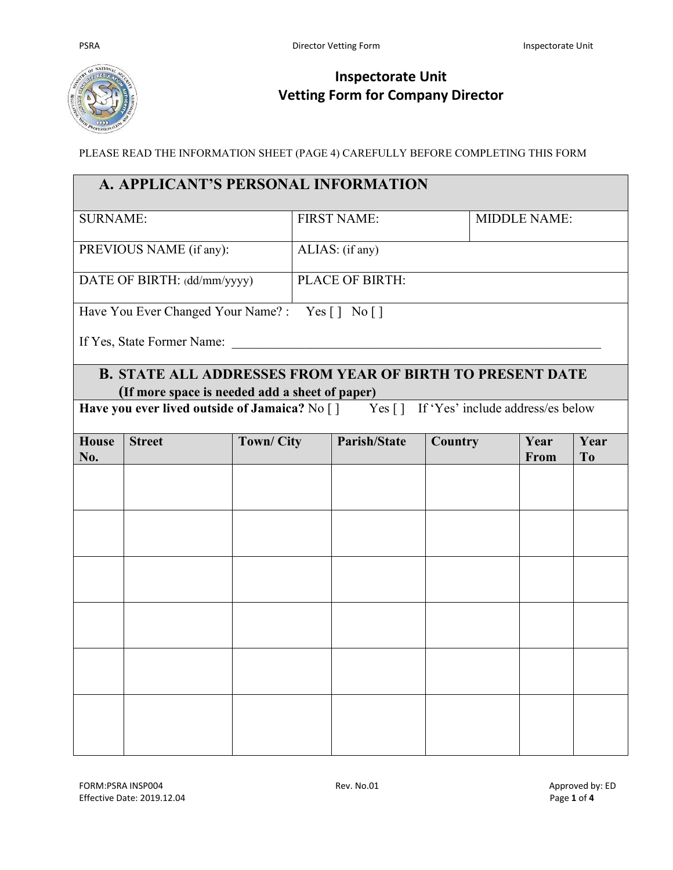

## **Inspectorate Unit Vetting Form for Company Director**

PLEASE READ THE INFORMATION SHEET (PAGE 4) CAREFULLY BEFORE COMPLETING THIS FORM

| A. APPLICANT'S PERSONAL INFORMATION                                                    |                                                                  |                    |  |                     |                     |  |              |                        |
|----------------------------------------------------------------------------------------|------------------------------------------------------------------|--------------------|--|---------------------|---------------------|--|--------------|------------------------|
| <b>SURNAME:</b>                                                                        |                                                                  | <b>FIRST NAME:</b> |  |                     | <b>MIDDLE NAME:</b> |  |              |                        |
| PREVIOUS NAME (if any):                                                                |                                                                  | ALIAS: (if any)    |  |                     |                     |  |              |                        |
|                                                                                        | DATE OF BIRTH: (dd/mm/yyyy)                                      |                    |  | PLACE OF BIRTH:     |                     |  |              |                        |
|                                                                                        | Have You Ever Changed Your Name?: Yes [] No []                   |                    |  |                     |                     |  |              |                        |
|                                                                                        | If Yes, State Former Name:                                       |                    |  |                     |                     |  |              |                        |
|                                                                                        | <b>B. STATE ALL ADDRESSES FROM YEAR OF BIRTH TO PRESENT DATE</b> |                    |  |                     |                     |  |              |                        |
|                                                                                        | (If more space is needed add a sheet of paper)                   |                    |  |                     |                     |  |              |                        |
| Have you ever lived outside of Jamaica? No [] Yes [] If 'Yes' include address/es below |                                                                  |                    |  |                     |                     |  |              |                        |
| <b>House</b><br>No.                                                                    | <b>Street</b>                                                    | <b>Town/City</b>   |  | <b>Parish/State</b> | Country             |  | Year<br>From | Year<br>T <sub>o</sub> |
|                                                                                        |                                                                  |                    |  |                     |                     |  |              |                        |
|                                                                                        |                                                                  |                    |  |                     |                     |  |              |                        |
|                                                                                        |                                                                  |                    |  |                     |                     |  |              |                        |
|                                                                                        |                                                                  |                    |  |                     |                     |  |              |                        |
|                                                                                        |                                                                  |                    |  |                     |                     |  |              |                        |
|                                                                                        |                                                                  |                    |  |                     |                     |  |              |                        |
|                                                                                        |                                                                  |                    |  |                     |                     |  |              |                        |
|                                                                                        |                                                                  |                    |  |                     |                     |  |              |                        |
|                                                                                        |                                                                  |                    |  |                     |                     |  |              |                        |
|                                                                                        |                                                                  |                    |  |                     |                     |  |              |                        |
|                                                                                        |                                                                  |                    |  |                     |                     |  |              |                        |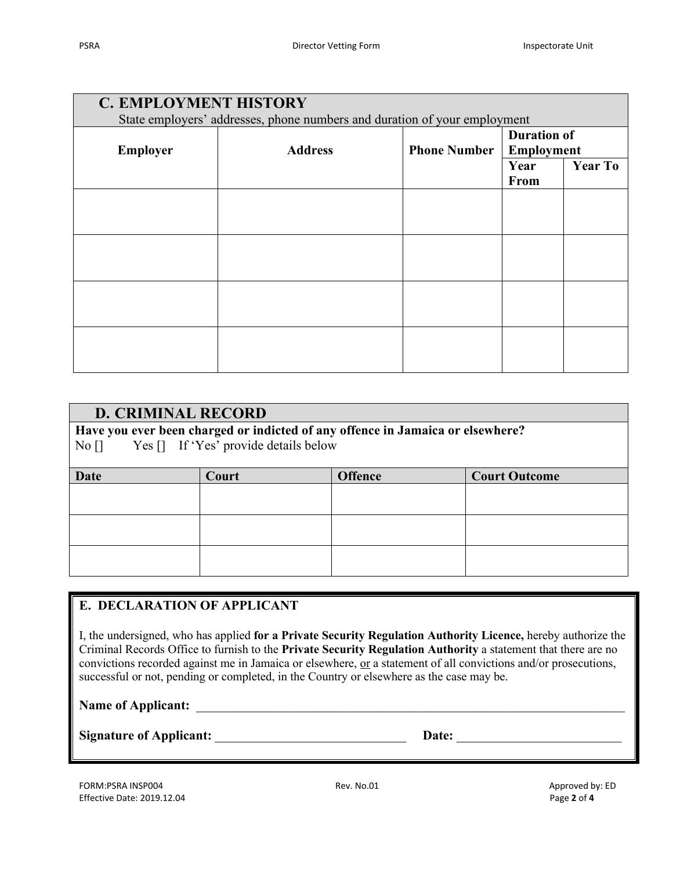| <b>C. EMPLOYMENT HISTORY</b><br>State employers' addresses, phone numbers and duration of your employment |                |                     |                                         |                |  |
|-----------------------------------------------------------------------------------------------------------|----------------|---------------------|-----------------------------------------|----------------|--|
| <b>Employer</b>                                                                                           | <b>Address</b> | <b>Phone Number</b> | <b>Duration of</b><br><b>Employment</b> |                |  |
|                                                                                                           |                |                     | Year<br>From                            | <b>Year To</b> |  |
|                                                                                                           |                |                     |                                         |                |  |
|                                                                                                           |                |                     |                                         |                |  |
|                                                                                                           |                |                     |                                         |                |  |
|                                                                                                           |                |                     |                                         |                |  |
|                                                                                                           |                |                     |                                         |                |  |
|                                                                                                           |                |                     |                                         |                |  |

| <b>D. CRIMINAL RECORD</b><br>Have you ever been charged or indicted of any offence in Jamaica or elsewhere?<br>Yes [] If 'Yes' provide details below<br>$\overline{N}$ o $\overline{1}$ |       |                |                      |  |  |
|-----------------------------------------------------------------------------------------------------------------------------------------------------------------------------------------|-------|----------------|----------------------|--|--|
|                                                                                                                                                                                         |       |                |                      |  |  |
| Date                                                                                                                                                                                    | Court | <b>Offence</b> | <b>Court Outcome</b> |  |  |
|                                                                                                                                                                                         |       |                |                      |  |  |
|                                                                                                                                                                                         |       |                |                      |  |  |
|                                                                                                                                                                                         |       |                |                      |  |  |
|                                                                                                                                                                                         |       |                |                      |  |  |
|                                                                                                                                                                                         |       |                |                      |  |  |
|                                                                                                                                                                                         |       |                |                      |  |  |

## **E. DECLARATION OF APPLICANT**

I, the undersigned, who has applied **for a Private Security Regulation Authority Licence,** hereby authorize the Criminal Records Office to furnish to the **Private Security Regulation Authority** a statement that there are no convictions recorded against me in Jamaica or elsewhere, or a statement of all convictions and/or prosecutions, successful or not, pending or completed, in the Country or elsewhere as the case may be.

Name of Applicant:

Signature of Applicant: **Latter Applicant: Date: Date: Date: Date: Date: CO**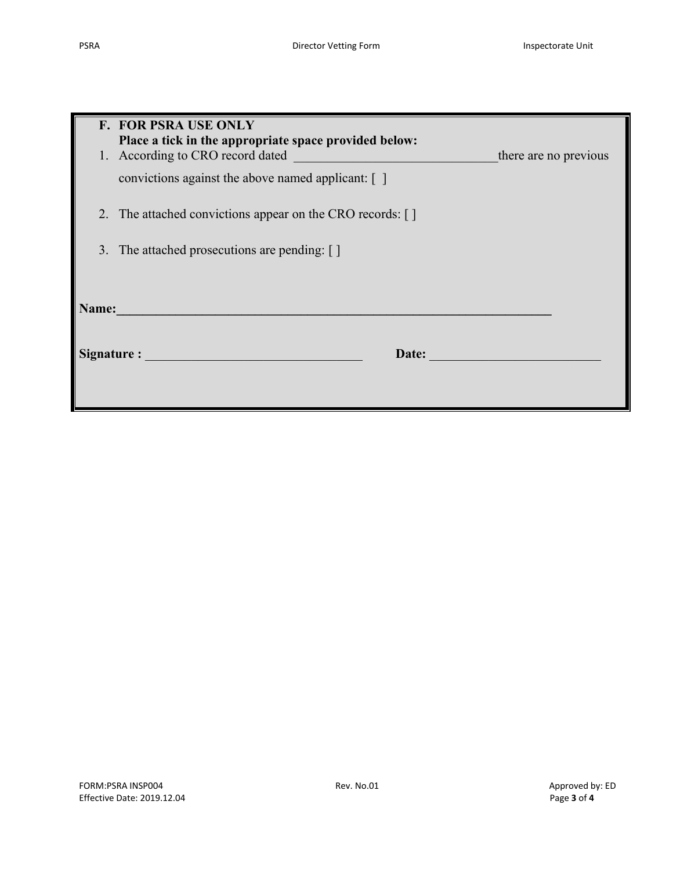| <b>F. FOR PSRA USE ONLY</b><br>Place a tick in the appropriate space provided below:<br>1. According to CRO record dated<br>convictions against the above named applicant: [] | there are no previous |  |  |  |  |
|-------------------------------------------------------------------------------------------------------------------------------------------------------------------------------|-----------------------|--|--|--|--|
| 2. The attached convictions appear on the CRO records: []<br>3. The attached prosecutions are pending: []                                                                     |                       |  |  |  |  |
| Name:                                                                                                                                                                         |                       |  |  |  |  |
| Signature : and the state of the state of the state of the state of the state of the state of the state of the<br>Date:                                                       |                       |  |  |  |  |